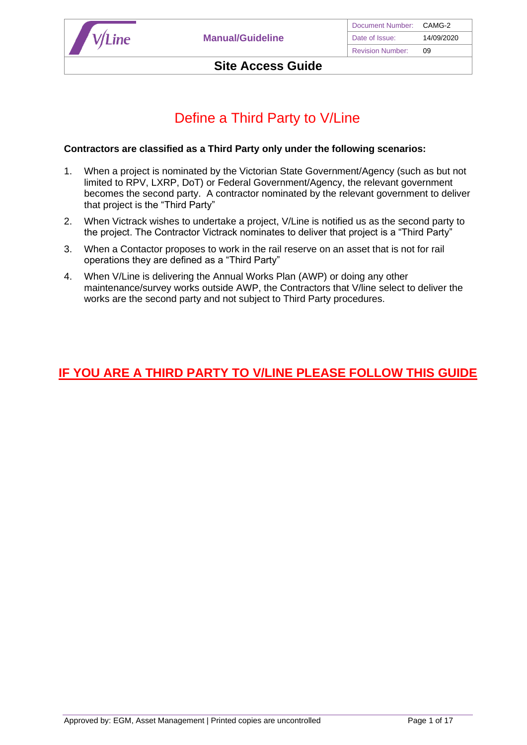

# Define a Third Party to V/Line

### **Contractors are classified as a Third Party only under the following scenarios:**

- 1. When a project is nominated by the Victorian State Government/Agency (such as but not limited to RPV, LXRP, DoT) or Federal Government/Agency, the relevant government becomes the second party. A contractor nominated by the relevant government to deliver that project is the "Third Party"
- 2. When Victrack wishes to undertake a project, V/Line is notified us as the second party to the project. The Contractor Victrack nominates to deliver that project is a "Third Party"
- 3. When a Contactor proposes to work in the rail reserve on an asset that is not for rail operations they are defined as a "Third Party"
- 4. When V/Line is delivering the Annual Works Plan (AWP) or doing any other maintenance/survey works outside AWP, the Contractors that V/line select to deliver the works are the second party and not subject to Third Party procedures.

# **IF YOU ARE A THIRD PARTY TO V/LINE PLEASE FOLLOW THIS GUIDE**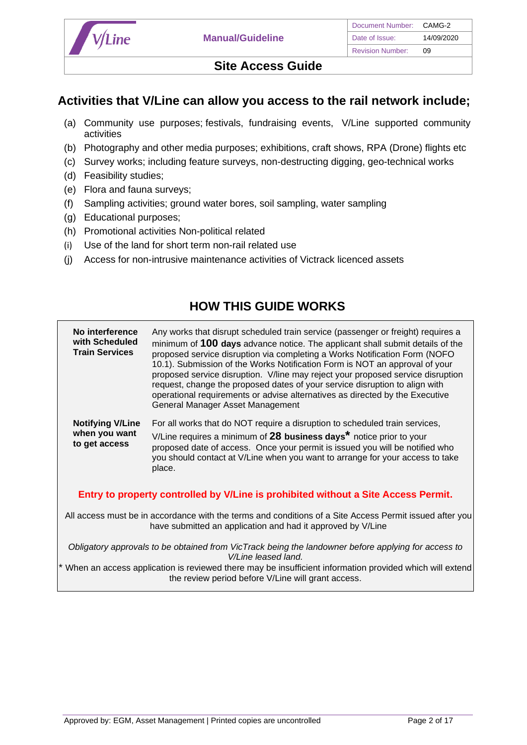

## **Activities that V/Line can allow you access to the rail network include;**

- (a) Community use purposes; festivals, fundraising events, V/Line supported community activities
- (b) Photography and other media purposes; exhibitions, craft shows, RPA (Drone) flights etc
- (c) Survey works; including feature surveys, non-destructing digging, geo-technical works
- (d) Feasibility studies;
- (e) Flora and fauna surveys;
- (f) Sampling activities; ground water bores, soil sampling, water sampling
- (g) Educational purposes;
- (h) Promotional activities Non-political related
- (i) Use of the land for short term non-rail related use
- (j) Access for non-intrusive maintenance activities of Victrack licenced assets

# **HOW THIS GUIDE WORKS**

**Train Services** proposed service disruption via completing a Works Notification Form (NOFO request, change the proposed dates of your service disruption to align with operational requirements or advise alternatives as directed by the Executive **Part BLGIVES IN THE GIVES WARD OF THE VICE IN CONFIDENT IS SURGERED IN AN INCORPORT WHEN YOU want V/Line requires a minimum of <b>28** business days<sup>\*</sup> notice prior to your **No interference with Scheduled Train Services** Any works that disrupt scheduled train service (passenger or freight) requires a minimum of **100 days** advance notice. The applicant shall submit details of the 10.1). Submission of the Works Notification Form is NOT an approval of your proposed service disruption. V/line may reject your proposed service disruption General Manager Asset Management **Notifying V/Line when you want to get access** For all works that do NOT require a disruption to scheduled train services, proposed date of access. Once your permit is issued you will be notified who

*require and approved before an approximation to be made and approximation before entering v/Line controlled property.* place.

### **Entry to property controlled by V/Line is prohibited without a Site Access Permit.**

you should contact at V/Line when you want to arrange for your access to take

*Re do this whole page* All access must be in accordance with the terms and conditions of a Site Access Permit issued after you have submitted an application and had it approved by V/Line

*Obligatory approvals to be obtained from VicTrack being the landowner before applying for access to V/Line leased land.*

When an access application is reviewed there may be insufficient information provided which will extend the review period before V/Line will grant access.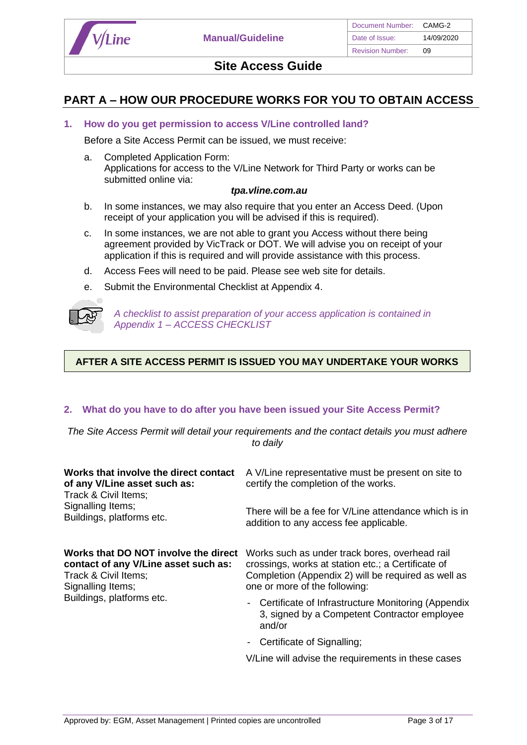

## **PART A – HOW OUR PROCEDURE WORKS FOR YOU TO OBTAIN ACCESS**

### **1. How do you get permission to access V/Line controlled land?**

Before a Site Access Permit can be issued, we must receive:

a. Completed Application Form: Applications for access to the V/Line Network for Third Party or works can be submitted online via:

#### *tpa.vline.com.au*

- b. In some instances, we may also require that you enter an Access Deed. (Upon receipt of your application you will be advised if this is required).
- c. In some instances, we are not able to grant you Access without there being agreement provided by VicTrack or DOT. We will advise you on receipt of your application if this is required and will provide assistance with this process.
- d. Access Fees will need to be paid. Please see web site for details.
- e. Submit the Environmental Checklist at Appendix 4.



*A checklist to assist preparation of your access application is contained in Appendix 1 – ACCESS CHECKLIST* 

### **AFTER A SITE ACCESS PERMIT IS ISSUED YOU MAY UNDERTAKE YOUR WORKS**

### **2. What do you have to do after you have been issued your Site Access Permit?**

*The Site Access Permit will detail your requirements and the contact details you must adhere to daily*

| Works that involve the direct contact<br>of any V/Line asset such as:<br>Track & Civil Items;                             | A V/Line representative must be present on site to<br>certify the completion of the works.                                                                                                   |
|---------------------------------------------------------------------------------------------------------------------------|----------------------------------------------------------------------------------------------------------------------------------------------------------------------------------------------|
| Signalling Items;<br>Buildings, platforms etc.                                                                            | There will be a fee for V/Line attendance which is in<br>addition to any access fee applicable.                                                                                              |
| Works that DO NOT involve the direct<br>contact of any V/Line asset such as:<br>Track & Civil Items;<br>Signalling Items; | Works such as under track bores, overhead rail<br>crossings, works at station etc.; a Certificate of<br>Completion (Appendix 2) will be required as well as<br>one or more of the following: |
| Buildings, platforms etc.                                                                                                 | - Certificate of Infrastructure Monitoring (Appendix<br>3, signed by a Competent Contractor employee<br>and/or                                                                               |
|                                                                                                                           | Certificate of Signalling;                                                                                                                                                                   |
|                                                                                                                           | V/Line will advise the requirements in these cases                                                                                                                                           |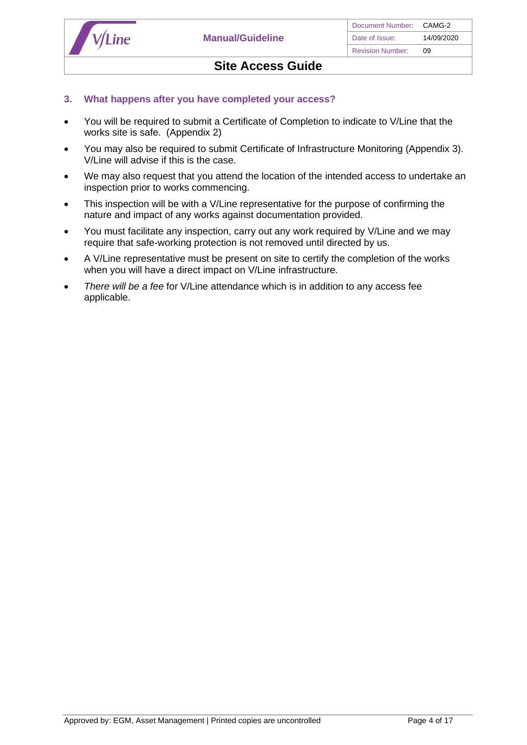

### **3. What happens after you have completed your access?**

- You will be required to submit a Certificate of Completion to indicate to V/Line that the works site is safe. (Appendix 2)
- You may also be required to submit Certificate of Infrastructure Monitoring (Appendix 3). V/Line will advise if this is the case.
- We may also request that you attend the location of the intended access to undertake an inspection prior to works commencing.
- This inspection will be with a V/Line representative for the purpose of confirming the nature and impact of any works against documentation provided.
- You must facilitate any inspection, carry out any work required by V/Line and we may require that safe-working protection is not removed until directed by us.
- A V/Line representative must be present on site to certify the completion of the works when you will have a direct impact on V/Line infrastructure.
- *There will be a fee* for V/Line attendance which is in addition to any access fee applicable.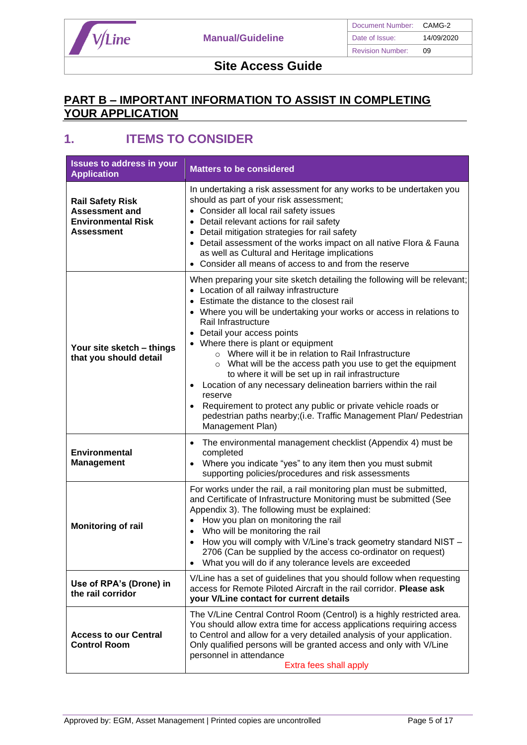

## **PART B – IMPORTANT INFORMATION TO ASSIST IN COMPLETING YOUR APPLICATION**

# **1. ITEMS TO CONSIDER**

| <b>Issues to address in your</b><br><b>Application</b>                                             | <b>Matters to be considered</b>                                                                                                                                                                                                                                                                                                                                                                                                                                                                                                                                                                                                                                                                                                                                     |
|----------------------------------------------------------------------------------------------------|---------------------------------------------------------------------------------------------------------------------------------------------------------------------------------------------------------------------------------------------------------------------------------------------------------------------------------------------------------------------------------------------------------------------------------------------------------------------------------------------------------------------------------------------------------------------------------------------------------------------------------------------------------------------------------------------------------------------------------------------------------------------|
| <b>Rail Safety Risk</b><br><b>Assessment and</b><br><b>Environmental Risk</b><br><b>Assessment</b> | In undertaking a risk assessment for any works to be undertaken you<br>should as part of your risk assessment;<br>• Consider all local rail safety issues<br>Detail relevant actions for rail safety<br>Detail mitigation strategies for rail safety<br>$\bullet$<br>• Detail assessment of the works impact on all native Flora & Fauna<br>as well as Cultural and Heritage implications<br>Consider all means of access to and from the reserve                                                                                                                                                                                                                                                                                                                   |
| Your site sketch - things<br>that you should detail                                                | When preparing your site sketch detailing the following will be relevant;<br>• Location of all railway infrastructure<br>Estimate the distance to the closest rail<br>• Where you will be undertaking your works or access in relations to<br>Rail Infrastructure<br>Detail your access points<br>• Where there is plant or equipment<br>o Where will it be in relation to Rail Infrastructure<br>What will be the access path you use to get the equipment<br>$\circ$<br>to where it will be set up in rail infrastructure<br>Location of any necessary delineation barriers within the rail<br>reserve<br>Requirement to protect any public or private vehicle roads or<br>pedestrian paths nearby; (i.e. Traffic Management Plan/ Pedestrian<br>Management Plan) |
| <b>Environmental</b><br><b>Management</b>                                                          | The environmental management checklist (Appendix 4) must be<br>$\bullet$<br>completed<br>Where you indicate "yes" to any item then you must submit<br>supporting policies/procedures and risk assessments                                                                                                                                                                                                                                                                                                                                                                                                                                                                                                                                                           |
| <b>Monitoring of rail</b>                                                                          | For works under the rail, a rail monitoring plan must be submitted,<br>and Certificate of Infrastructure Monitoring must be submitted (See<br>Appendix 3). The following must be explained:<br>How you plan on monitoring the rail<br>$\bullet$<br>Who will be monitoring the rail<br>$\bullet$<br>How you will comply with V/Line's track geometry standard NIST -<br>$\bullet$<br>2706 (Can be supplied by the access co-ordinator on request)<br>What you will do if any tolerance levels are exceeded                                                                                                                                                                                                                                                           |
| Use of RPA's (Drone) in<br>the rail corridor                                                       | V/Line has a set of guidelines that you should follow when requesting<br>access for Remote Piloted Aircraft in the rail corridor. Please ask<br>your V/Line contact for current details                                                                                                                                                                                                                                                                                                                                                                                                                                                                                                                                                                             |
| <b>Access to our Central</b><br><b>Control Room</b>                                                | The V/Line Central Control Room (Centrol) is a highly restricted area.<br>You should allow extra time for access applications requiring access<br>to Centrol and allow for a very detailed analysis of your application.<br>Only qualified persons will be granted access and only with V/Line<br>personnel in attendance<br>Extra fees shall apply                                                                                                                                                                                                                                                                                                                                                                                                                 |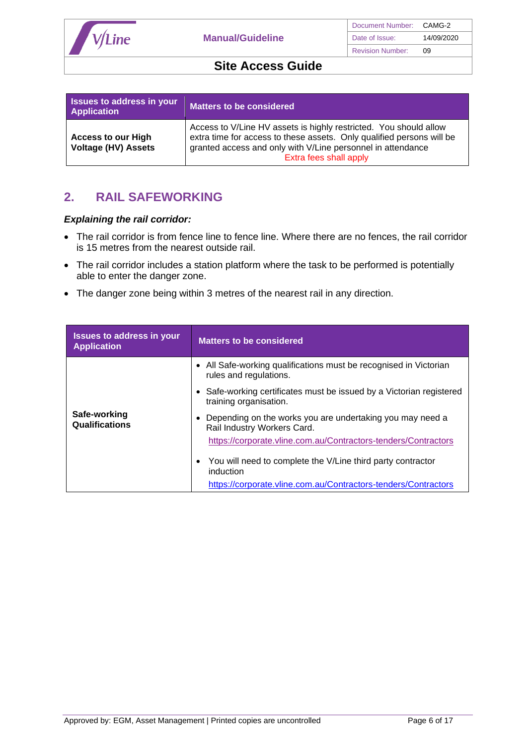

| Issues to address in your<br><b>Application</b>         | Matters to be considered                                                                                                                                                                                                            |
|---------------------------------------------------------|-------------------------------------------------------------------------------------------------------------------------------------------------------------------------------------------------------------------------------------|
| <b>Access to our High</b><br><b>Voltage (HV) Assets</b> | Access to V/Line HV assets is highly restricted. You should allow<br>extra time for access to these assets. Only qualified persons will be<br>granted access and only with V/Line personnel in attendance<br>Extra fees shall apply |

# **2. RAIL SAFEWORKING**

### *Explaining the rail corridor:*

- The rail corridor is from fence line to fence line. Where there are no fences, the rail corridor is 15 metres from the nearest outside rail.
- The rail corridor includes a station platform where the task to be performed is potentially able to enter the danger zone.
- The danger zone being within 3 metres of the nearest rail in any direction.

| <b>Issues to address in your</b><br><b>Application</b> | <b>Matters to be considered</b>                                                                                                                            |  |  |
|--------------------------------------------------------|------------------------------------------------------------------------------------------------------------------------------------------------------------|--|--|
|                                                        | • All Safe-working qualifications must be recognised in Victorian<br>rules and regulations.                                                                |  |  |
|                                                        | Safe-working certificates must be issued by a Victorian registered<br>training organisation.                                                               |  |  |
| Safe-working<br>Qualifications                         | Depending on the works you are undertaking you may need a<br>Rail Industry Workers Card.<br>https://corporate.vline.com.au/Contractors-tenders/Contractors |  |  |
|                                                        | You will need to complete the V/Line third party contractor<br>induction<br>https://corporate.vline.com.au/Contractors-tenders/Contractors                 |  |  |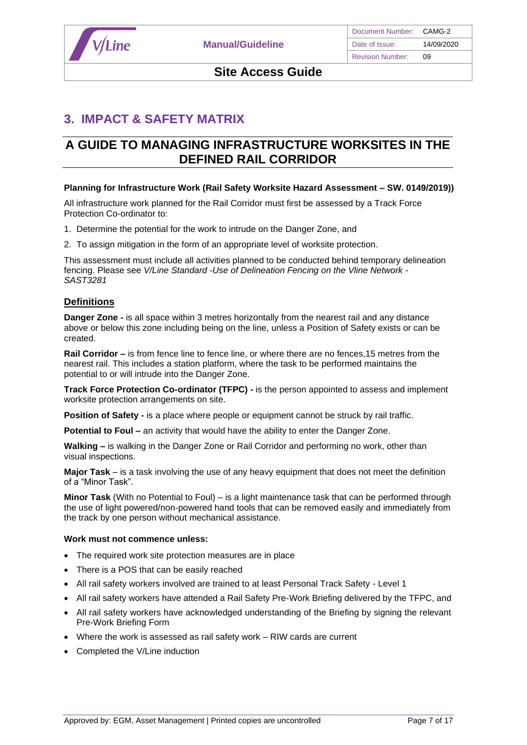

# **3. IMPACT & SAFETY MATRIX**

# **A GUIDE TO MANAGING INFRASTRUCTURE WORKSITES IN THE DEFINED RAIL CORRIDOR**

#### **Planning for Infrastructure Work (Rail Safety Worksite Hazard Assessment – SW. 0149/2019))**

All infrastructure work planned for the Rail Corridor must first be assessed by a Track Force Protection Co-ordinator to:

- 1. Determine the potential for the work to intrude on the Danger Zone, and
- 2. To assign mitigation in the form of an appropriate level of worksite protection.

This assessment must include all activities planned to be conducted behind temporary delineation fencing. Please see *V/Line Standard -Use of Delineation Fencing on the Vline Network - SAST3281*

### **Definitions**

**Danger Zone -** is all space within 3 metres horizontally from the nearest rail and any distance above or below this zone including being on the line, unless a Position of Safety exists or can be created.

**Rail Corridor –** is from fence line to fence line, or where there are no fences, 15 metres from the nearest rail. This includes a station platform, where the task to be performed maintains the potential to or will intrude into the Danger Zone.

**Track Force Protection Co-ordinator (TFPC) -** is the person appointed to assess and implement worksite protection arrangements on site.

**Position of Safety -** is a place where people or equipment cannot be struck by rail traffic.

**Potential to Foul –** an activity that would have the ability to enter the Danger Zone.

**Walking –** is walking in the Danger Zone or Rail Corridor and performing no work, other than visual inspections.

**Major Task** – is a task involving the use of any heavy equipment that does not meet the definition of a "Minor Task".

**Minor Task** (With no Potential to Foul) – is a light maintenance task that can be performed through the use of light powered/non-powered hand tools that can be removed easily and immediately from the track by one person without mechanical assistance.

#### **Work must not commence unless:**

- The required work site protection measures are in place
- There is a POS that can be easily reached
- All rail safety workers involved are trained to at least Personal Track Safety Level 1
- All rail safety workers have attended a Rail Safety Pre-Work Briefing delivered by the TFPC, and
- All rail safety workers have acknowledged understanding of the Briefing by signing the relevant Pre-Work Briefing Form
- Where the work is assessed as rail safety work RIW cards are current
- Completed the V/Line induction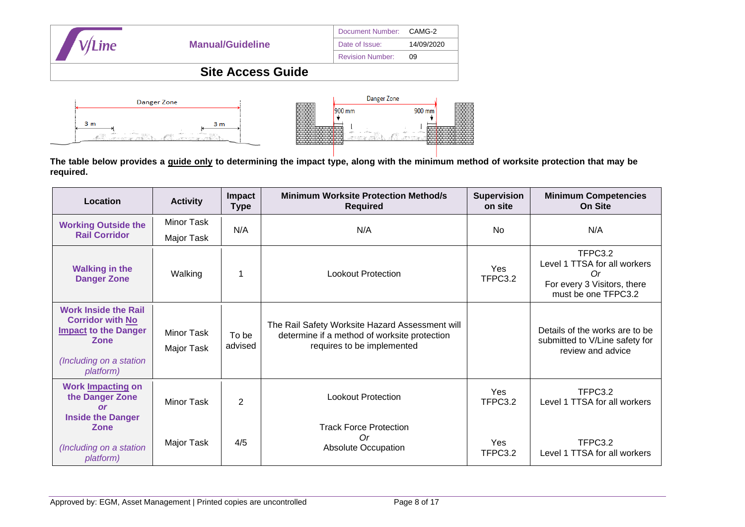| <b>V/Line</b> |                         | Document Number:        | CAMG-2     |
|---------------|-------------------------|-------------------------|------------|
|               | <b>Manual/Guideline</b> | Date of Issue:          | 14/09/2020 |
|               |                         | <b>Revision Number:</b> | 09         |
|               |                         |                         |            |
|               |                         | Danger Zone             |            |



**The table below provides a guide only to determining the impact type, along with the minimum method of worksite protection that may be required.** 

| Location                                                                                                                              | <b>Activity</b>                 | Impact<br><b>Type</b> | <b>Minimum Worksite Protection Method/s</b><br><b>Required</b>                                                                | <b>Supervision</b><br>on site | <b>Minimum Competencies</b><br><b>On Site</b>                                                       |  |
|---------------------------------------------------------------------------------------------------------------------------------------|---------------------------------|-----------------------|-------------------------------------------------------------------------------------------------------------------------------|-------------------------------|-----------------------------------------------------------------------------------------------------|--|
| <b>Working Outside the</b>                                                                                                            | Minor Task                      | N/A                   | N/A                                                                                                                           | <b>No</b>                     | N/A                                                                                                 |  |
| <b>Rail Corridor</b>                                                                                                                  | Major Task                      |                       |                                                                                                                               |                               |                                                                                                     |  |
| <b>Walking in the</b><br><b>Danger Zone</b>                                                                                           | Walking                         |                       | <b>Lookout Protection</b>                                                                                                     | Yes<br>TFPC3.2                | TFPC3.2<br>Level 1 TTSA for all workers<br>0r<br>For every 3 Visitors, there<br>must be one TFPC3.2 |  |
| <b>Work Inside the Rail</b><br><b>Corridor with No</b><br><b>Impact to the Danger</b><br>Zone<br>(Including on a station<br>platform) | <b>Minor Task</b><br>Major Task | To be<br>advised      | The Rail Safety Worksite Hazard Assessment will<br>determine if a method of worksite protection<br>requires to be implemented |                               | Details of the works are to be<br>submitted to V/Line safety for<br>review and advice               |  |
| <b>Work Impacting on</b><br>the Danger Zone<br>$\alpha$<br><b>Inside the Danger</b>                                                   | Minor Task                      | $\overline{2}$        | <b>Lookout Protection</b>                                                                                                     | Yes<br>TFPC3.2                | TFPC3.2<br>Level 1 TTSA for all workers                                                             |  |
| Zone<br>(Including on a station<br>platform)                                                                                          | Major Task                      | 4/5                   | <b>Track Force Protection</b><br>Or<br><b>Absolute Occupation</b>                                                             | Yes<br>TFPC3.2                | TFPC3.2<br>Level 1 TTSA for all workers                                                             |  |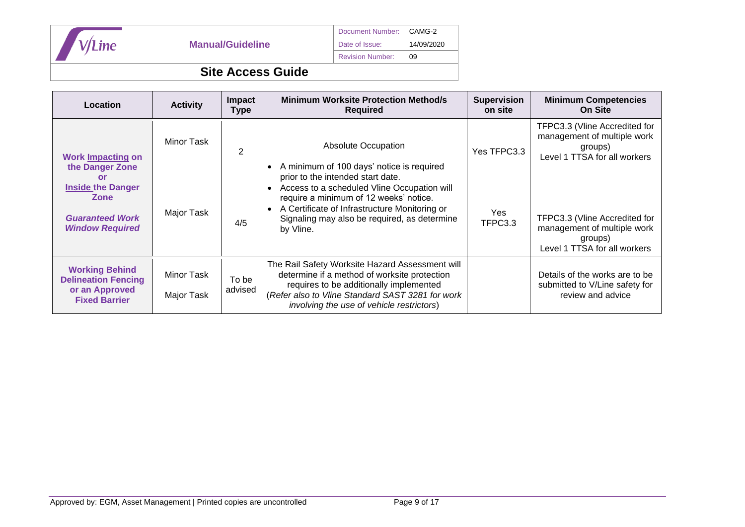

## Document Number: CAMG-2 Date of Issue: 14/09/2020

Revision Number: 09

# **Site Access Guide**

| Location                                                                                      | <b>Activity</b>          | <b>Impact</b><br><b>Type</b> | <b>Minimum Worksite Protection Method/s</b><br><b>Required</b>                                                                                                                                                                              | <b>Supervision</b><br>on site | <b>Minimum Competencies</b><br><b>On Site</b>                                                           |
|-----------------------------------------------------------------------------------------------|--------------------------|------------------------------|---------------------------------------------------------------------------------------------------------------------------------------------------------------------------------------------------------------------------------------------|-------------------------------|---------------------------------------------------------------------------------------------------------|
| <b>Work Impacting on</b><br>the Danger Zone<br>or                                             | Minor Task               | 2                            | <b>Absolute Occupation</b><br>A minimum of 100 days' notice is required<br>prior to the intended start date.                                                                                                                                | Yes TFPC3.3                   | TFPC3.3 (Vline Accredited for<br>management of multiple work<br>groups)<br>Level 1 TTSA for all workers |
| <b>Inside the Danger</b><br><b>Zone</b><br><b>Guaranteed Work</b><br><b>Window Required</b>   | Major Task               | 4/5                          | Access to a scheduled Vline Occupation will<br>require a minimum of 12 weeks' notice.<br>A Certificate of Infrastructure Monitoring or<br>Signaling may also be required, as determine<br>by Vline.                                         | <b>Yes</b><br>TFPC3.3         | TFPC3.3 (Vline Accredited for<br>management of multiple work<br>groups)<br>Level 1 TTSA for all workers |
| <b>Working Behind</b><br><b>Delineation Fencing</b><br>or an Approved<br><b>Fixed Barrier</b> | Minor Task<br>Major Task | To be<br>advised             | The Rail Safety Worksite Hazard Assessment will<br>determine if a method of worksite protection<br>requires to be additionally implemented<br>(Refer also to Vline Standard SAST 3281 for work<br>involving the use of vehicle restrictors) |                               | Details of the works are to be<br>submitted to V/Line safety for<br>review and advice                   |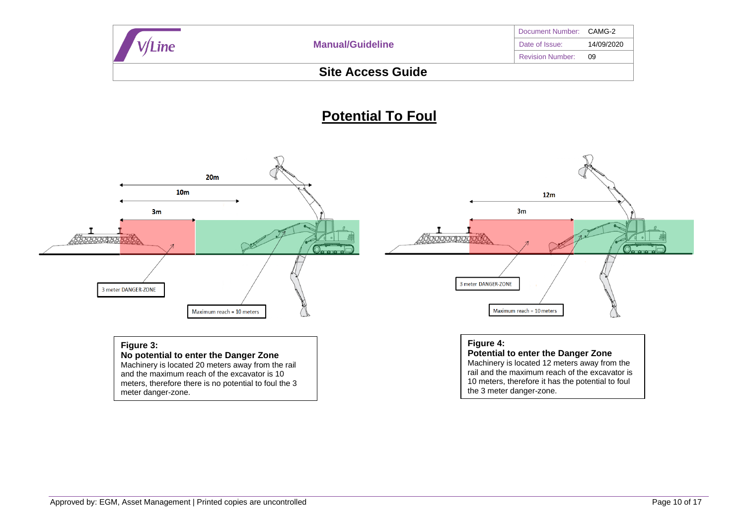|                          |                         | Document Number: CAMG-2 |            |  |
|--------------------------|-------------------------|-------------------------|------------|--|
| 'Line                    | <b>Manual/Guideline</b> | Date of Issue:          | 14/09/2020 |  |
|                          |                         | <b>Revision Number:</b> | -09        |  |
| <b>Site Access Guide</b> |                         |                         |            |  |

# **Potential To Foul**

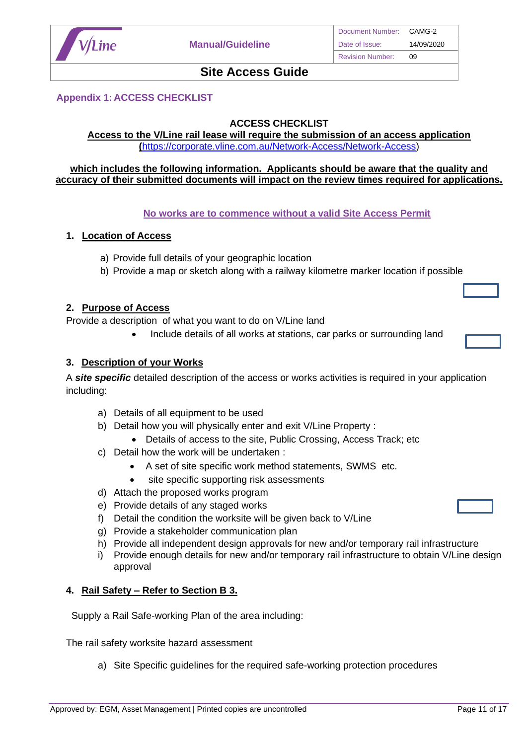

### **Appendix 1: ACCESS CHECKLIST**

### **ACCESS CHECKLIST**

#### **Access to the V/Line rail lease will require the submission of an access application (**[https://corporate.vline.com.au/Network-Access/Network-Access\)](https://corporate.vline.com.au/Network-Access/Network-Access)

### **which includes the following information. Applicants should be aware that the quality and accuracy of their submitted documents will impact on the review times required for applications.**

### **No works are to commence without a valid Site Access Permit**

### **1. Location of Access**

- a) Provide full details of your geographic location
- b) Provide a map or sketch along with a railway kilometre marker location if possible

### **2. Purpose of Access**

Provide a description of what you want to do on V/Line land

• Include details of all works at stations, car parks or surrounding land

### **3. Description of your Works**

A *site specific* detailed description of the access or works activities is required in your application including:

- a) Details of all equipment to be used
- b) Detail how you will physically enter and exit V/Line Property :
	- Details of access to the site, Public Crossing, Access Track; etc
- c) Detail how the work will be undertaken :
	- A set of site specific work method statements, SWMS etc.
	- site specific supporting risk assessments
- d) Attach the proposed works program
- e) Provide details of any staged works
- f) Detail the condition the worksite will be given back to V/Line
- g) Provide a stakeholder communication plan
- h) Provide all independent design approvals for new and/or temporary rail infrastructure
- i) Provide enough details for new and/or temporary rail infrastructure to obtain V/Line design approval

### **4. Rail Safety – Refer to Section B 3.**

Supply a Rail Safe-working Plan of the area including:

The rail safety worksite hazard assessment

a) Site Specific guidelines for the required safe-working protection procedures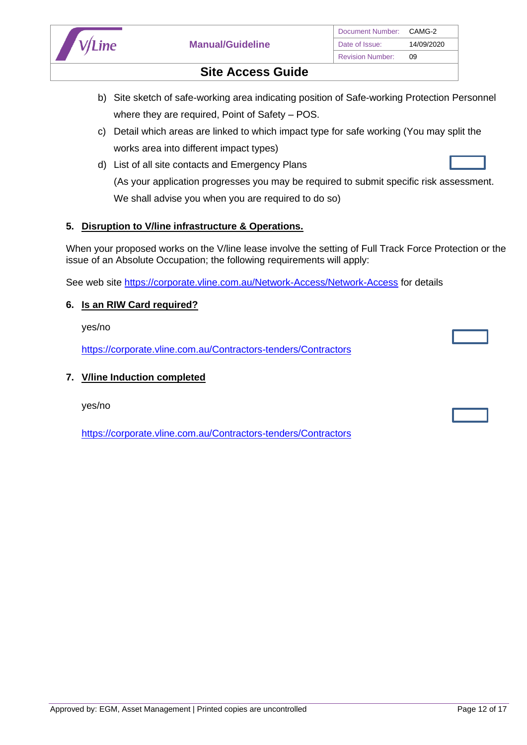

- b) Site sketch of safe-working area indicating position of Safe-working Protection Personnel where they are required, Point of Safety – POS.
- c) Detail which areas are linked to which impact type for safe working (You may split the works area into different impact types)
- d) List of all site contacts and Emergency Plans (As your application progresses you may be required to submit specific risk assessment. We shall advise you when you are required to do so)

### **5. Disruption to V/line infrastructure & Operations.**

When your proposed works on the V/line lease involve the setting of Full Track Force Protection or the issue of an Absolute Occupation; the following requirements will apply:

See web site <https://corporate.vline.com.au/Network-Access/Network-Access> for details

### **6. Is an RIW Card required?**

yes/no

<https://corporate.vline.com.au/Contractors-tenders/Contractors>

### **7. V/line Induction completed**

yes/no

<https://corporate.vline.com.au/Contractors-tenders/Contractors>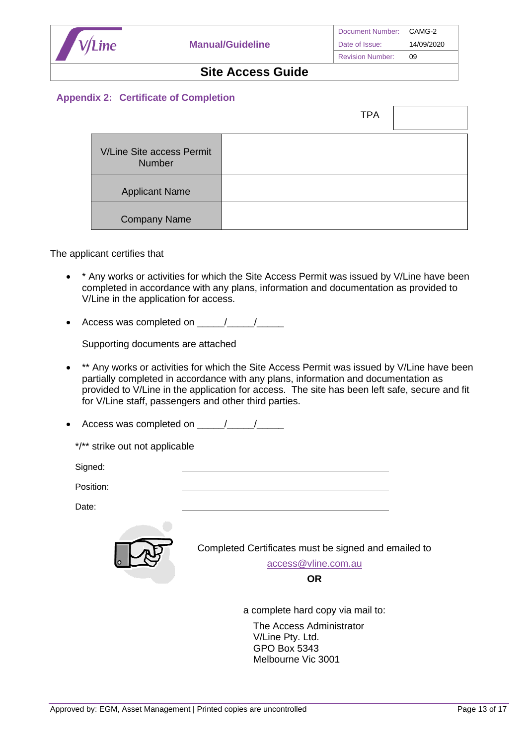

### **Appendix 2: Certificate of Completion**

|                                            | <b>TPA</b> |  |
|--------------------------------------------|------------|--|
| V/Line Site access Permit<br><b>Number</b> |            |  |
| <b>Applicant Name</b>                      |            |  |
| <b>Company Name</b>                        |            |  |

### The applicant certifies that

- \* Any works or activities for which the Site Access Permit was issued by V/Line have been completed in accordance with any plans, information and documentation as provided to V/Line in the application for access.
- Access was completed on  $\frac{1}{\sqrt{1-\frac{1}{\sqrt{1-\frac{1}{\sqrt{1-\frac{1}{\sqrt{1-\frac{1}{\sqrt{1-\frac{1}{\sqrt{1-\frac{1}{\sqrt{1-\frac{1}{\sqrt{1-\frac{1}{\sqrt{1-\frac{1}{\sqrt{1-\frac{1}{\sqrt{1-\frac{1}{\sqrt{1-\frac{1}{\sqrt{1-\frac{1}{\sqrt{1-\frac{1}{\sqrt{1-\frac{1}{\sqrt{1-\frac{1}{\sqrt{1-\frac{1}{\sqrt{1-\frac{1}{\sqrt{1-\frac{1}{\sqrt{1-\frac{1}{\sqrt{1-\frac{1}{$

Supporting documents are attached

\*\* Any works or activities for which the Site Access Permit was issued by V/Line have been partially completed in accordance with any plans, information and documentation as provided to V/Line in the application for access. The site has been left safe, secure and fit for V/Line staff, passengers and other third parties.

• Access was completed on \_\_\_\_\_/\_\_\_\_\_/\_\_\_\_\_

|  |  |  |  | */** strike out not applicable |
|--|--|--|--|--------------------------------|
|--|--|--|--|--------------------------------|

Signed:

Position:

Date:



Completed Certificates must be signed and emailed to

[access@vline.com.au](mailto:access@vline.com.au)

**OR** 

a complete hard copy via mail to:

The Access Administrator V/Line Pty. Ltd. GPO Box 5343 Melbourne Vic 3001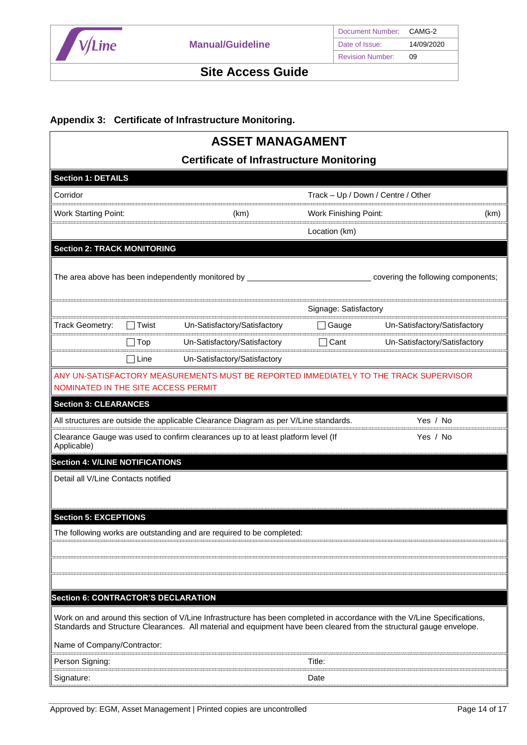

### **Appendix 3: Certificate of Infrastructure Monitoring.**

| <b>ASSET MANAGAMENT</b>                    |                |                                                                                                                                                                                                                                                   |                              |                                    |      |
|--------------------------------------------|----------------|---------------------------------------------------------------------------------------------------------------------------------------------------------------------------------------------------------------------------------------------------|------------------------------|------------------------------------|------|
|                                            |                | <b>Certificate of Infrastructure Monitoring</b>                                                                                                                                                                                                   |                              |                                    |      |
| <b>Section 1: DETAILS</b>                  |                |                                                                                                                                                                                                                                                   |                              |                                    |      |
| Corridor                                   |                |                                                                                                                                                                                                                                                   |                              | Track - Up / Down / Centre / Other |      |
| <b>Work Starting Point:</b>                |                | (km)                                                                                                                                                                                                                                              | <b>Work Finishing Point:</b> |                                    | (km) |
|                                            |                |                                                                                                                                                                                                                                                   | Location (km)                |                                    |      |
| <b>Section 2: TRACK MONITORING</b>         |                |                                                                                                                                                                                                                                                   |                              |                                    |      |
|                                            |                | The area above has been independently monitored by ___________                                                                                                                                                                                    |                              | covering the following components; |      |
|                                            |                |                                                                                                                                                                                                                                                   | Signage: Satisfactory        |                                    |      |
| Track Geometry:                            | $\sqcap$ Twist | Un-Satisfactory/Satisfactory                                                                                                                                                                                                                      | Gauge                        | Un-Satisfactory/Satisfactory       |      |
|                                            | $\Box$ Top     | Un-Satisfactory/Satisfactory                                                                                                                                                                                                                      | Cant                         | Un-Satisfactory/Satisfactory       |      |
|                                            | ∃Line          | Un-Satisfactory/Satisfactory                                                                                                                                                                                                                      |                              |                                    |      |
| NOMINATED IN THE SITE ACCESS PERMIT        |                | ANY UN-SATISFACTORY MEASUREMENTS MUST BE REPORTED IMMEDIATELY TO THE TRACK SUPERVISOR                                                                                                                                                             |                              |                                    |      |
| <b>Section 3: CLEARANCES</b>               |                |                                                                                                                                                                                                                                                   |                              |                                    |      |
|                                            |                | All structures are outside the applicable Clearance Diagram as per V/Line standards.                                                                                                                                                              |                              | Yes / No                           |      |
| Applicable)                                |                | Clearance Gauge was used to confirm clearances up to at least platform level (If                                                                                                                                                                  |                              | Yes / No                           |      |
| <b>Section 4: V/LINE NOTIFICATIONS</b>     |                |                                                                                                                                                                                                                                                   |                              |                                    |      |
| Detail all V/Line Contacts notified        |                |                                                                                                                                                                                                                                                   |                              |                                    |      |
| <b>Section 5: EXCEPTIONS</b>               |                |                                                                                                                                                                                                                                                   |                              |                                    |      |
|                                            |                | The following works are outstanding and are required to be completed:                                                                                                                                                                             |                              |                                    |      |
|                                            |                |                                                                                                                                                                                                                                                   |                              |                                    |      |
|                                            |                |                                                                                                                                                                                                                                                   |                              |                                    |      |
|                                            |                |                                                                                                                                                                                                                                                   |                              |                                    |      |
| <b>Section 6: CONTRACTOR'S DECLARATION</b> |                |                                                                                                                                                                                                                                                   |                              |                                    |      |
|                                            |                | Work on and around this section of V/Line Infrastructure has been completed in accordance with the V/Line Specifications,<br>Standards and Structure Clearances. All material and equipment have been cleared from the structural gauge envelope. |                              |                                    |      |
| Name of Company/Contractor:                |                |                                                                                                                                                                                                                                                   |                              |                                    |      |
| Person Signing:                            |                |                                                                                                                                                                                                                                                   | Title:                       |                                    |      |
| Signature:                                 |                |                                                                                                                                                                                                                                                   | Date                         |                                    |      |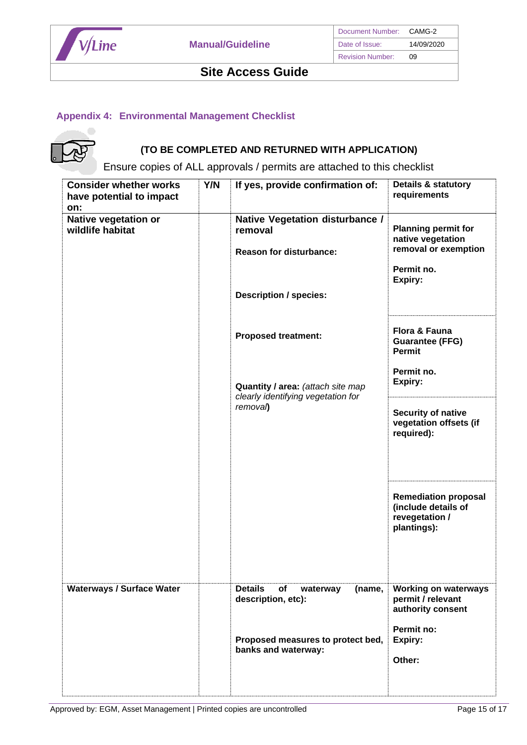

## **Appendix 4: Environmental Management Checklist**



# **(TO BE COMPLETED AND RETURNED WITH APPLICATION)**

Ensure copies of ALL approvals / permits are attached to this checklist

| <b>Consider whether works</b><br>have potential to impact<br>on: | Y/N | If yes, provide confirmation of:                                                                              | <b>Details &amp; statutory</b><br>requirements                                                   |
|------------------------------------------------------------------|-----|---------------------------------------------------------------------------------------------------------------|--------------------------------------------------------------------------------------------------|
| Native vegetation or<br>wildlife habitat                         |     | Native Vegetation disturbance /<br>removal<br><b>Reason for disturbance:</b><br><b>Description / species:</b> | <b>Planning permit for</b><br>native vegetation<br>removal or exemption<br>Permit no.<br>Expiry: |
|                                                                  |     | <b>Proposed treatment:</b>                                                                                    | Flora & Fauna<br><b>Guarantee (FFG)</b><br>Permit<br>Permit no.                                  |
|                                                                  |     | Quantity / area: (attach site map<br>clearly identifying vegetation for                                       | Expiry:                                                                                          |
|                                                                  |     | removal)                                                                                                      | <b>Security of native</b><br>vegetation offsets (if<br>required):                                |
|                                                                  |     |                                                                                                               | <b>Remediation proposal</b><br>(include details of<br>revegetation /<br>plantings):              |
| <b>Waterways / Surface Water</b>                                 |     | <b>Details</b><br>of<br>(name,<br>waterway<br>description, etc):                                              | <b>Working on waterways</b><br>permit / relevant<br>authority consent                            |
|                                                                  |     | Proposed measures to protect bed,<br>banks and waterway:                                                      | Permit no:<br>Expiry:<br>Other:                                                                  |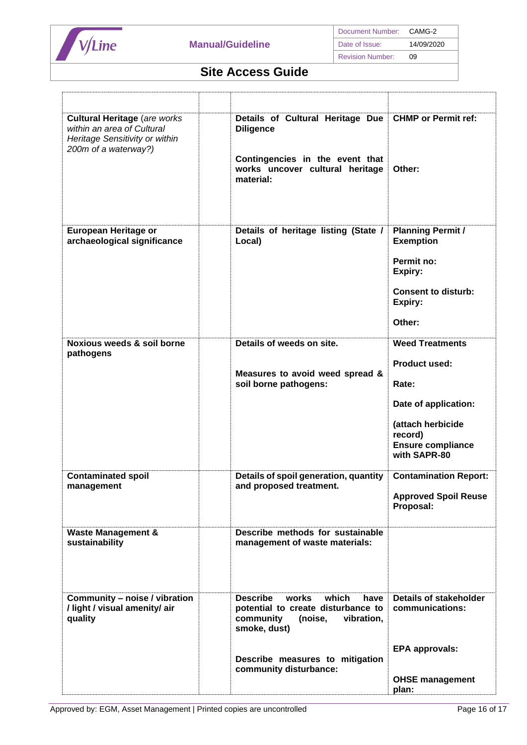

| <b>Cultural Heritage (are works)</b><br>within an area of Cultural<br>Heritage Sensitivity or within<br>200m of a waterway?) | Details of Cultural Heritage Due<br><b>Diligence</b><br>Contingencies in the event that<br>works uncover cultural heritage<br>material:                                                            | <b>CHMP or Permit ref:</b><br>Other:                                                                                                                        |
|------------------------------------------------------------------------------------------------------------------------------|----------------------------------------------------------------------------------------------------------------------------------------------------------------------------------------------------|-------------------------------------------------------------------------------------------------------------------------------------------------------------|
| European Heritage or<br>archaeological significance                                                                          | Details of heritage listing (State /<br>Local)                                                                                                                                                     | <b>Planning Permit /</b><br><b>Exemption</b><br>Permit no:<br>Expiry:<br><b>Consent to disturb:</b><br>Expiry:<br>Other:                                    |
| Noxious weeds & soil borne<br>pathogens                                                                                      | Details of weeds on site.<br>Measures to avoid weed spread &<br>soil borne pathogens:                                                                                                              | <b>Weed Treatments</b><br><b>Product used:</b><br>Rate:<br>Date of application:<br>(attach herbicide<br>record)<br><b>Ensure compliance</b><br>with SAPR-80 |
| <b>Contaminated spoil</b><br>management                                                                                      | Details of spoil generation, quantity<br>and proposed treatment.                                                                                                                                   | <b>Contamination Report:</b><br><b>Approved Spoil Reuse</b><br>Proposal:                                                                                    |
| <b>Waste Management &amp;</b><br>sustainability                                                                              | Describe methods for sustainable<br>management of waste materials:                                                                                                                                 |                                                                                                                                                             |
| Community - noise / vibration<br>/ light / visual amenity/ air<br>quality                                                    | <b>Describe</b><br>which<br>works<br>have<br>potential to create disturbance to<br>community<br>vibration,<br>(noise,<br>smoke, dust)<br>Describe measures to mitigation<br>community disturbance: | <b>Details of stakeholder</b><br>communications:<br><b>EPA approvals:</b><br><b>OHSE management</b>                                                         |
|                                                                                                                              |                                                                                                                                                                                                    | plan:                                                                                                                                                       |